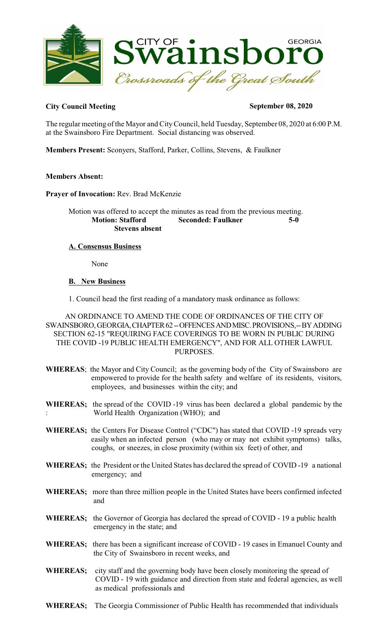

# City Council Meeting September 08, 2020

The regular meeting of the Mayor and CityCouncil, held Tuesday, September 08, 2020 at 6:00 P.M. at the Swainsboro Fire Department. Social distancing was observed.

**Members Present:** Sconyers, Stafford, Parker, Collins, Stevens, & Faulkner

# **Members Absent:**

**Prayer of Invocation:** Rev. Brad McKenzie

Motion was offered to accept the minutes as read from the previous meeting. **Motion: Stafford Seconded: Faulkner 5-0 Stevens absent**

# **A. Consensus Business**

None

# **B. New Business**

1. Council head the first reading of a mandatory mask ordinance as follows:

AN ORDINANCE TO AMEND THE CODE OF ORDINANCES OF THE CITY OF SWAINSBORO, GEORGIA, CHAPTER 62 -- OFFENCES AND MISC. PROVISIONS,-- BY ADDING SECTION 62-15 "REQUIRING FACE COVERINGS TO BE WORN IN PUBLIC DURING THE COVID -19 PUBLIC HEALTH EMERGENCY", AND FOR ALL OTHER LAWFUL PURPOSES.

- **WHEREAS**; the Mayor and City Council; as the governing body of the City of Swainsboro are empowered to provide for the health safety and welfare of its residents, visitors, employees, and businesses within the city; and
- **WHEREAS;** the spread of the COVID -19 virus has been declared a global pandemic by the : World Health Organization (WHO); and
- **WHEREAS;** the Centers For Disease Control ("CDC") has stated that COVID -19 spreads very easily when an infected person (who may or may not exhibit symptoms) talks, coughs, or sneezes, in close proximity (within six feet) of other, and
- **WHEREAS;** the President or the United States has declared the spread of COVID -19 a national emergency; and
- **WHEREAS;** more than three million people in the United States have beers confirmed infected and
- **WHEREAS;** the Governor of Georgia has declared the spread of COVID 19 a public health emergency in the state; and
- **WHEREAS;** there has been a significant increase of COVID 19 cases in Emanuel County and the City of Swainsboro in recent weeks, and
- **WHEREAS;** city staff and the governing body have been closely monitoring the spread of COVID - 19 with guidance and direction from state and federal agencies, as well as medical professionals and
- **WHEREAS;** The Georgia Commissioner of Public Health has recommended that individuals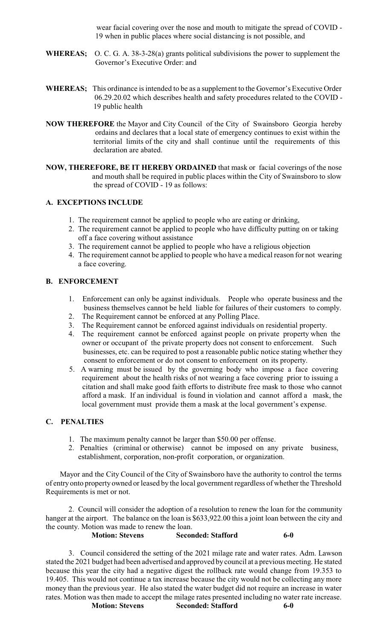wear facial covering over the nose and mouth to mitigate the spread of COVID - 19 when in public places where social distancing is not possible, and

- **WHEREAS;** O. C. G. A. 38-3-28(a) grants political subdivisions the power to supplement the Governor's Executive Order: and
- WHEREAS; This ordinance is intended to be as a supplement to the Governor's Executive Order 06.29.20.02 which describes health and safety procedures related to the COVID - 19 public health
- **NOW THEREFORE** the Mayor and City Council of the City of Swainsboro Georgia hereby ordains and declares that a local state of emergency continues to exist within the territorial limits of the city and shall continue until the requirements of this declaration are abated.
- **NOW, THEREFORE, BE IT HEREBY ORDAINED** that mask or facial coverings of the nose and mouth shall be required in public places within the City of Swainsboro to slow the spread of COVID - 19 as follows:

# **A. EXCEPTIONS INCLUDE**

- 1. The requirement cannot be applied to people who are eating or drinking,
- 2. The requirement cannot be applied to people who have difficulty putting on or taking off a face covering without assistance
- 3. The requirement cannot be applied to people who have a religious objection
- 4. The requirement cannot be applied to people who have a medical reason for not wearing a face covering.

# **B. ENFORCEMENT**

- 1. Enforcement can only be against individuals. People who operate business and the business themselves cannot be held liable for failures of their customers to comply.
- 2. The Requirement cannot be enforced at any Polling Place. 3. The Requirement cannot be enforced against individuals on residential property.
- 4. The requirement cannot be enforced against people on private property when the owner or occupant of the private property does not consent to enforcement. Such businesses, etc. can be required to post a reasonable public notice stating whether they consent to enforcement or do not consent to enforcement on its property.
	- 5. A warning must be issued by the governing body who impose a face covering requirement about the health risks of not wearing a face covering prior to issuing a citation and shall make good faith efforts to distribute free mask to those who cannot afford a mask. If an individual is found in violation and cannot afford a mask, the local government must provide them a mask at the local government's expense.

### **C. PENALTIES**

- 1. The maximum penalty cannot be larger than \$50.00 per offense.
- 2. Penalties (criminal or otherwise) cannot be imposed on any private business, establishment, corporation, non-profit corporation, or organization.

 Mayor and the City Council of the City of Swainsboro have the authority to control the terms of entry onto property owned or leased by the local government regardless of whether the Threshold Requirements is met or not.

2. Council will consider the adoption of a resolution to renew the loan for the community hanger at the airport. The balance on the loan is \$633,922.00 this a joint loan between the city and the county. Motion was made to renew the loan.

## **Motion: Stevens Seconded: Stafford 6-0**

3. Council considered the setting of the 2021 milage rate and water rates. Adm. Lawson stated the 2021 budget had been advertised and approved by council at a previous meeting. He stated because this year the city had a negative digest the rollback rate would change from 19.353 to 19.405. This would not continue a tax increase because the city would not be collecting any more money than the previous year. He also stated the water budget did not require an increase in water rates. Motion was then made to accept the milage rates presented including no water rate increase. **Motion: Stevens Seconded: Stafford 6-0**